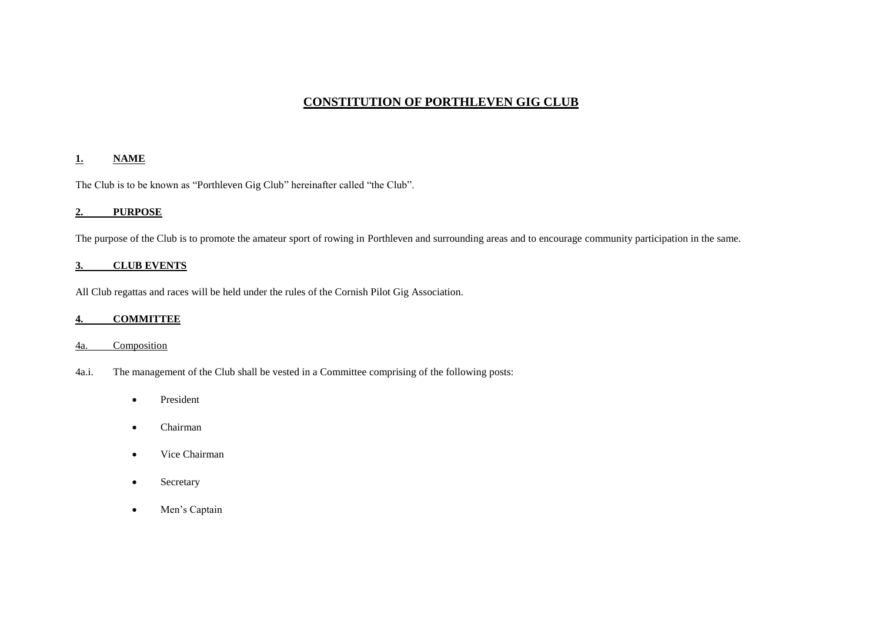# **CONSTITUTION OF PORTHLEVEN GIG CLUB**

# **1. NAME**

The Club is to be known as "Porthleven Gig Club" hereinafter called "the Club".

# **2. PURPOSE**

The purpose of the Club is to promote the amateur sport of rowing in Porthleven and surrounding areas and to encourage community participation in the same.

# **3. CLUB EVENTS**

All Club regattas and races will be held under the rules of the Cornish Pilot Gig Association.

# **4. COMMITTEE**

# 4a. Composition

- 4a.i. The management of the Club shall be vested in a Committee comprising of the following posts:
	- President
	- Chairman
	- Vice Chairman
	- Secretary
	- Men's Captain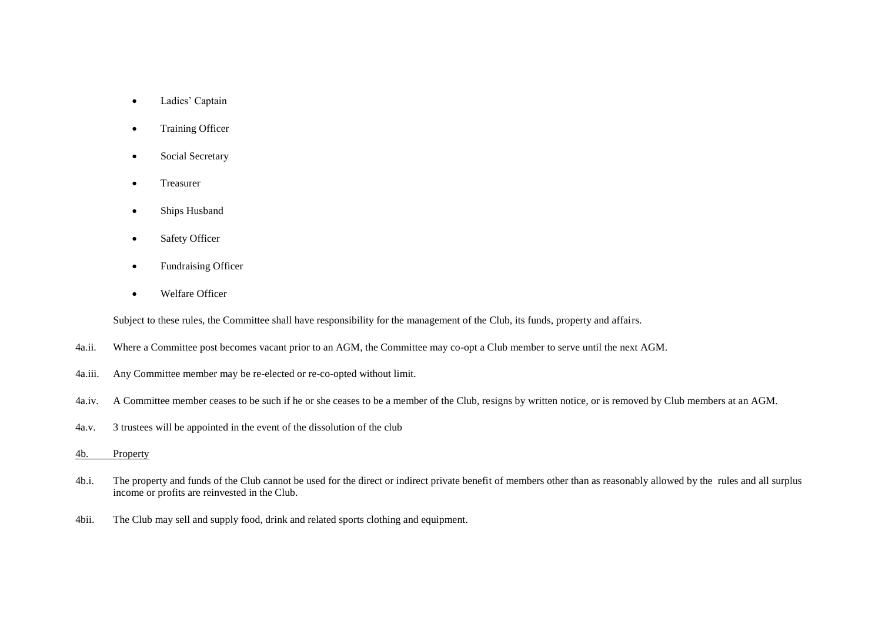- Ladies' Captain
- Training Officer
- Social Secretary
- Treasurer
- Ships Husband
- Safety Officer
- Fundraising Officer
- Welfare Officer

Subject to these rules, the Committee shall have responsibility for the management of the Club, its funds, property and affairs.

- 4a.ii. Where a Committee post becomes vacant prior to an AGM, the Committee may co-opt a Club member to serve until the next AGM.
- 4a.iii. Any Committee member may be re-elected or re-co-opted without limit.
- 4a.iv. A Committee member ceases to be such if he or she ceases to be a member of the Club, resigns by written notice, or is removed by Club members at an AGM.
- 4a.v. 3 trustees will be appointed in the event of the dissolution of the club
- 4b. Property
- 4b.i. The property and funds of the Club cannot be used for the direct or indirect private benefit of members other than as reasonably allowed by the rules and all surplus income or profits are reinvested in the Club.
- 4bii. The Club may sell and supply food, drink and related sports clothing and equipment.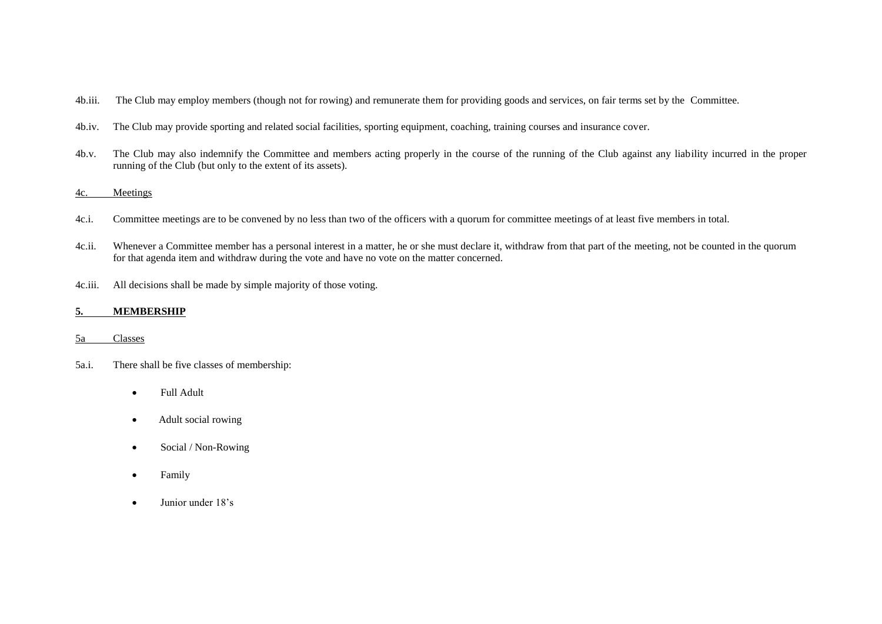- 4b.iii. The Club may employ members (though not for rowing) and remunerate them for providing goods and services, on fair terms set by the Committee.
- 4b.iv. The Club may provide sporting and related social facilities, sporting equipment, coaching, training courses and insurance cover.
- 4b.v. The Club may also indemnify the Committee and members acting properly in the course of the running of the Club against any liability incurred in the proper running of the Club (but only to the extent of its assets).

# 4c. Meetings

- 4c.i. Committee meetings are to be convened by no less than two of the officers with a quorum for committee meetings of at least five members in total.
- 4c.ii. Whenever a Committee member has a personal interest in a matter, he or she must declare it, withdraw from that part of the meeting, not be counted in the quorum for that agenda item and withdraw during the vote and have no vote on the matter concerned.
- 4c.iii. All decisions shall be made by simple majority of those voting.

## **5. MEMBERSHIP**

### 5a Classes

- 5a.i. There shall be five classes of membership:
	- Full Adult
	- Adult social rowing
	- Social / Non-Rowing
	- Family
	- Junior under 18's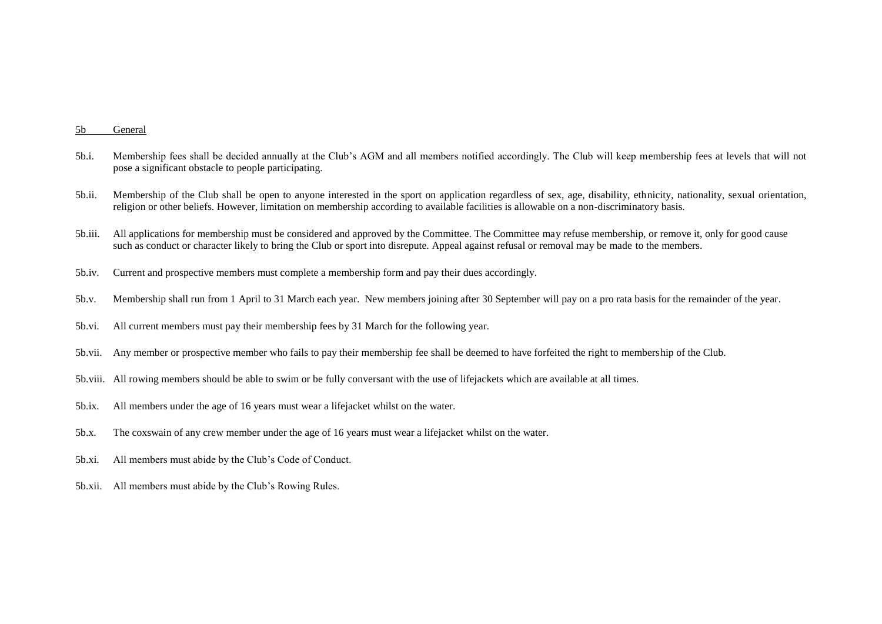#### 5b General

- 5b.i. Membership fees shall be decided annually at the Club's AGM and all members notified accordingly. The Club will keep membership fees at levels that will not pose a significant obstacle to people participating.
- 5b.ii. Membership of the Club shall be open to anyone interested in the sport on application regardless of sex, age, disability, ethnicity, nationality, sexual orientation, religion or other beliefs. However, limitation on membership according to available facilities is allowable on a non-discriminatory basis.
- 5b.iii. All applications for membership must be considered and approved by the Committee. The Committee may refuse membership, or remove it, only for good cause such as conduct or character likely to bring the Club or sport into disrepute. Appeal against refusal or removal may be made to the members.
- 5b.iv. Current and prospective members must complete a membership form and pay their dues accordingly.
- 5b.v. Membership shall run from 1 April to 31 March each year. New members joining after 30 September will pay on a pro rata basis for the remainder of the year.
- 5b.vi. All current members must pay their membership fees by 31 March for the following year.
- 5b.vii. Any member or prospective member who fails to pay their membership fee shall be deemed to have forfeited the right to membership of the Club.
- 5b.viii. All rowing members should be able to swim or be fully conversant with the use of lifejackets which are available at all times.
- 5b.ix. All members under the age of 16 years must wear a lifejacket whilst on the water.
- 5b.x. The coxswain of any crew member under the age of 16 years must wear a lifejacket whilst on the water.
- 5b.xi. All members must abide by the Club's Code of Conduct.
- 5b.xii. All members must abide by the Club's Rowing Rules.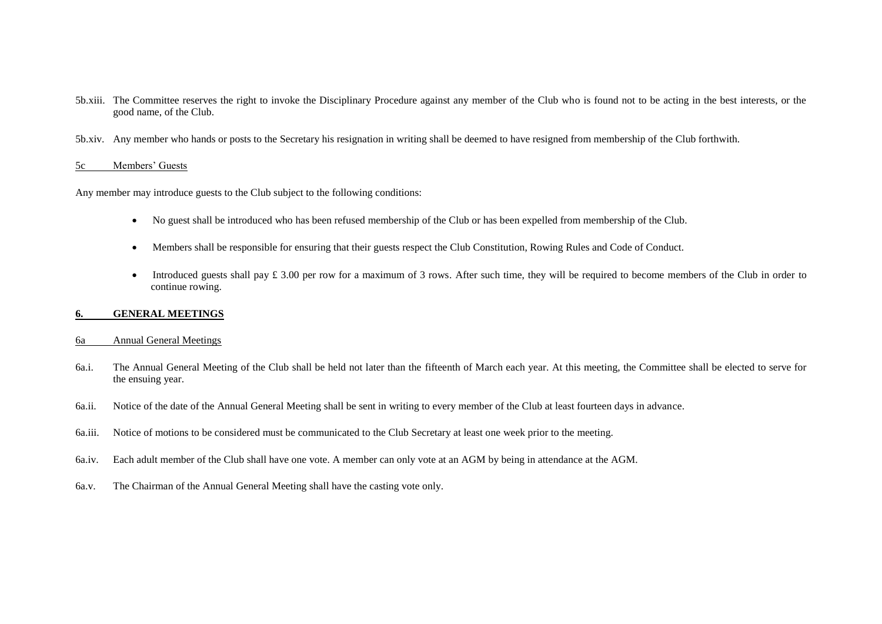- 5b.xiii. The Committee reserves the right to invoke the Disciplinary Procedure against any member of the Club who is found not to be acting in the best interests, or the good name, of the Club.
- 5b.xiv. Any member who hands or posts to the Secretary his resignation in writing shall be deemed to have resigned from membership of the Club forthwith.

## 5c Members' Guests

Any member may introduce guests to the Club subject to the following conditions:

- No guest shall be introduced who has been refused membership of the Club or has been expelled from membership of the Club.
- Members shall be responsible for ensuring that their guests respect the Club Constitution, Rowing Rules and Code of Conduct.
- Introduced guests shall pay £ 3.00 per row for a maximum of 3 rows. After such time, they will be required to become members of the Club in order to continue rowing.

### **6. GENERAL MEETINGS**

# 6a Annual General Meetings

- 6a.i. The Annual General Meeting of the Club shall be held not later than the fifteenth of March each year. At this meeting, the Committee shall be elected to serve for the ensuing year.
- 6a.ii. Notice of the date of the Annual General Meeting shall be sent in writing to every member of the Club at least fourteen days in advance.
- 6a.iii. Notice of motions to be considered must be communicated to the Club Secretary at least one week prior to the meeting.
- 6a.iv. Each adult member of the Club shall have one vote. A member can only vote at an AGM by being in attendance at the AGM.
- 6a.v. The Chairman of the Annual General Meeting shall have the casting vote only.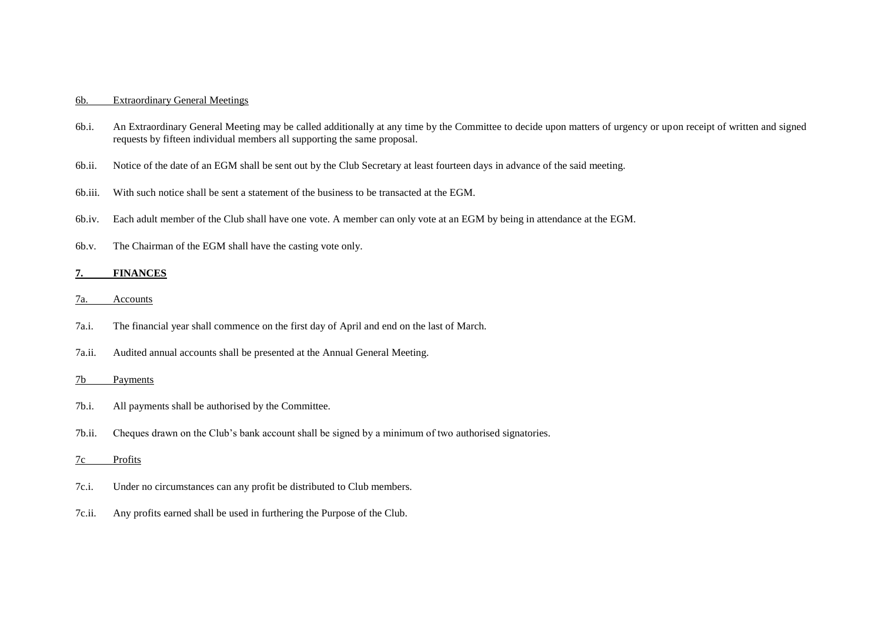## 6b. Extraordinary General Meetings

- 6b.i. An Extraordinary General Meeting may be called additionally at any time by the Committee to decide upon matters of urgency or upon receipt of written and signed requests by fifteen individual members all supporting the same proposal.
- 6b.ii. Notice of the date of an EGM shall be sent out by the Club Secretary at least fourteen days in advance of the said meeting.
- 6b.iii. With such notice shall be sent a statement of the business to be transacted at the EGM.
- 6b.iv. Each adult member of the Club shall have one vote. A member can only vote at an EGM by being in attendance at the EGM.
- 6b.v. The Chairman of the EGM shall have the casting vote only.

#### **7. FINANCES**

- 7a. Accounts
- 7a.i. The financial year shall commence on the first day of April and end on the last of March.
- 7a.ii. Audited annual accounts shall be presented at the Annual General Meeting.

#### 7b Payments

- 7b.i. All payments shall be authorised by the Committee.
- 7b.ii. Cheques drawn on the Club's bank account shall be signed by a minimum of two authorised signatories.

#### 7c Profits

- 7c.i. Under no circumstances can any profit be distributed to Club members.
- 7c.ii. Any profits earned shall be used in furthering the Purpose of the Club.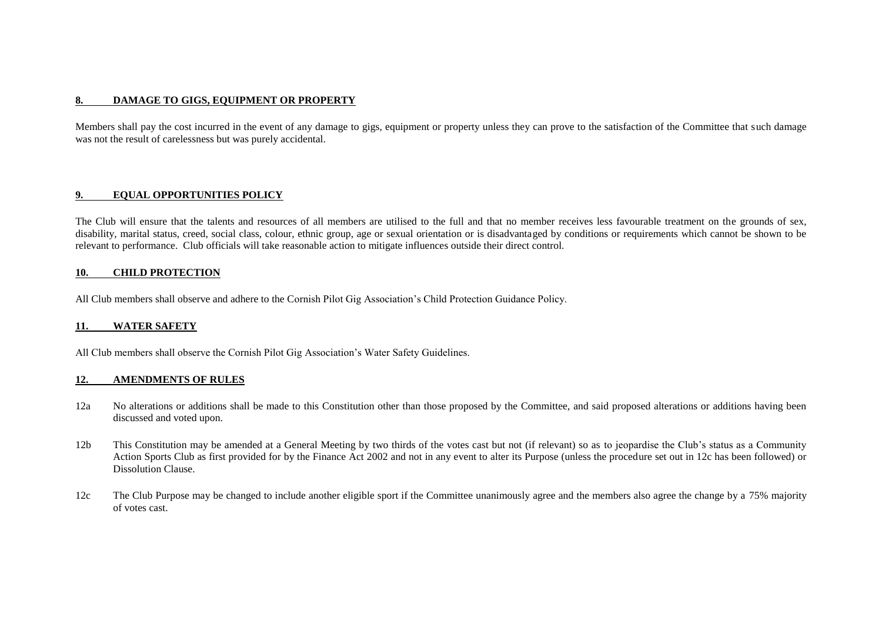# **8. DAMAGE TO GIGS, EQUIPMENT OR PROPERTY**

Members shall pay the cost incurred in the event of any damage to gigs, equipment or property unless they can prove to the satisfaction of the Committee that such damage was not the result of carelessness but was purely accidental.

## **9. EQUAL OPPORTUNITIES POLICY**

The Club will ensure that the talents and resources of all members are utilised to the full and that no member receives less favourable treatment on the grounds of sex, disability, marital status, creed, social class, colour, ethnic group, age or sexual orientation or is disadvantaged by conditions or requirements which cannot be shown to be relevant to performance. Club officials will take reasonable action to mitigate influences outside their direct control.

### **10. CHILD PROTECTION**

All Club members shall observe and adhere to the Cornish Pilot Gig Association's Child Protection Guidance Policy.

### **11. WATER SAFETY**

All Club members shall observe the Cornish Pilot Gig Association's Water Safety Guidelines.

### **12. AMENDMENTS OF RULES**

- 12a No alterations or additions shall be made to this Constitution other than those proposed by the Committee, and said proposed alterations or additions having been discussed and voted upon.
- 12b This Constitution may be amended at a General Meeting by two thirds of the votes cast but not (if relevant) so as to jeopardise the Club's status as a Community Action Sports Club as first provided for by the Finance Act 2002 and not in any event to alter its Purpose (unless the procedure set out in 12c has been followed) or Dissolution Clause.
- 12c The Club Purpose may be changed to include another eligible sport if the Committee unanimously agree and the members also agree the change by a 75% majority of votes cast.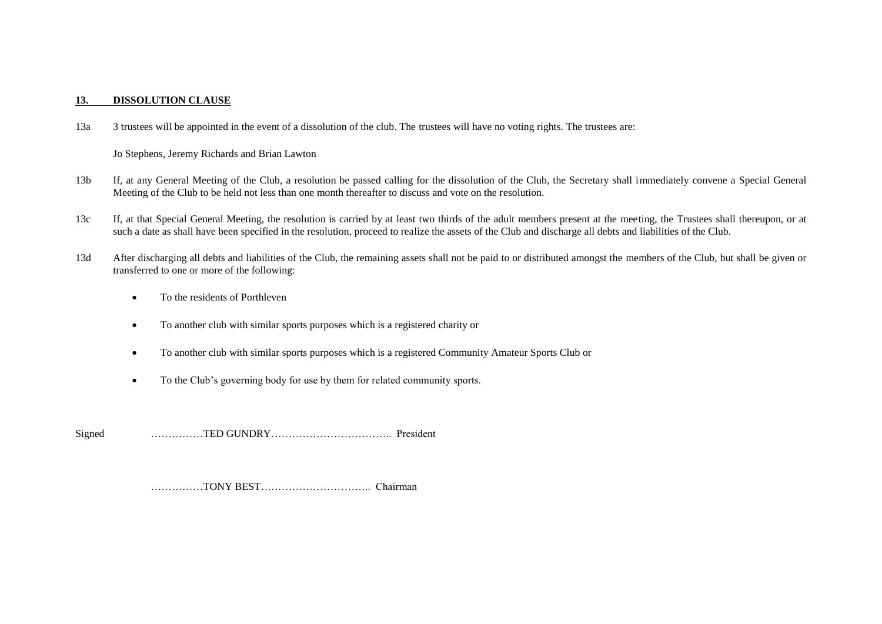# **13. DISSOLUTION CLAUSE**

13a 3 trustees will be appointed in the event of a dissolution of the club. The trustees will have no voting rights. The trustees are:

Jo Stephens, Jeremy Richards and Brian Lawton

- 13b If, at any General Meeting of the Club, a resolution be passed calling for the dissolution of the Club, the Secretary shall immediately convene a Special General Meeting of the Club to be held not less than one month thereafter to discuss and vote on the resolution.
- 13c If, at that Special General Meeting, the resolution is carried by at least two thirds of the adult members present at the meeting, the Trustees shall thereupon, or at such a date as shall have been specified in the resolution, proceed to realize the assets of the Club and discharge all debts and liabilities of the Club.
- 13d After discharging all debts and liabilities of the Club, the remaining assets shall not be paid to or distributed amongst the members of the Club, but shall be given or transferred to one or more of the following:
	- To the residents of Porthleven
	- To another club with similar sports purposes which is a registered charity or
	- To another club with similar sports purposes which is a registered Community Amateur Sports Club or
	- To the Club's governing body for use by them for related community sports.

Signed ……………TED GUNDRY…………………………….. President

……………TONY BEST………………………….. Chairman